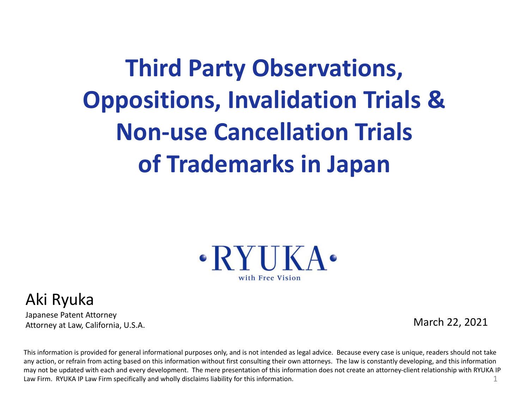**Third Party Observations, Oppositions, Invalidation Trials & Non-use Cancellation Trials of Trademarks in Japan**



#### Aki Ryuka

Japanese Patent Attorney Attorney at Law, California, U.S.A.

March 22, 2021

This information is provided for general informational purposes only, and is not intended as legal advice. Because every case is unique, readers should not take any action, or refrain from acting based on this information without first consulting their own attorneys. The law is constantly developing, and this information may not be updated with each and every development. The mere presentation of this information does not create an attorney-client relationship with RYUKA IP Law Firm. RYUKA IP Law Firm specifically and wholly disclaims liability for this information. 1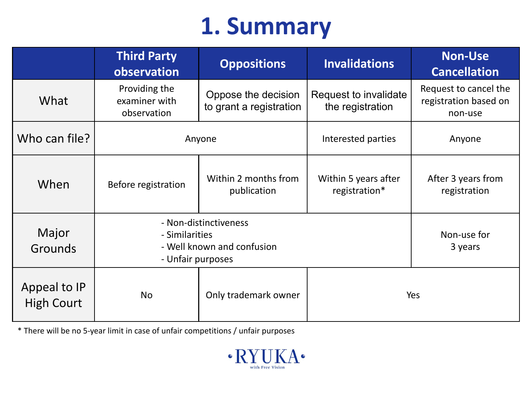#### **1. Summary**

|                                   | <b>Third Party</b><br>observation                                                          | <b>Oppositions</b>                             | <b>Invalidations</b>                      | <b>Non-Use</b><br><b>Cancellation</b>                     |  |
|-----------------------------------|--------------------------------------------------------------------------------------------|------------------------------------------------|-------------------------------------------|-----------------------------------------------------------|--|
| What                              | Providing the<br>examiner with<br>observation                                              | Oppose the decision<br>to grant a registration | Request to invalidate<br>the registration | Request to cancel the<br>registration based on<br>non-use |  |
| Who can file?                     | Anyone                                                                                     |                                                | Interested parties                        | Anyone                                                    |  |
| When                              | Before registration                                                                        | Within 2 months from<br>publication            | Within 5 years after<br>registration*     | After 3 years from<br>registration                        |  |
| Major<br><b>Grounds</b>           | - Non-distinctiveness<br>- Similarities<br>- Well known and confusion<br>- Unfair purposes | Non-use for<br>3 years                         |                                           |                                                           |  |
| Appeal to IP<br><b>High Court</b> | <b>No</b>                                                                                  | Only trademark owner                           | Yes                                       |                                                           |  |

\* There will be no 5-year limit in case of unfair competitions / unfair purposes

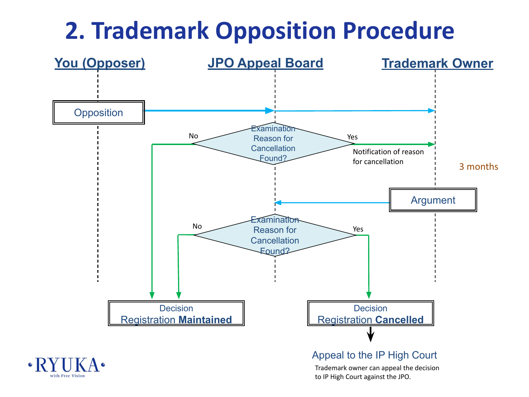## **2. Trademark Opposition Procedure**

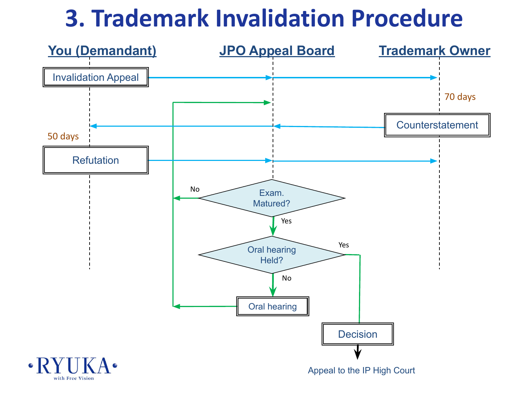#### **3. Trademark Invalidation Procedure**

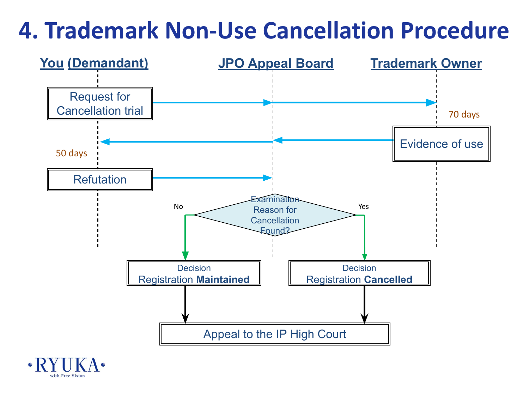#### **4. Trademark Non-Use Cancellation Procedure**



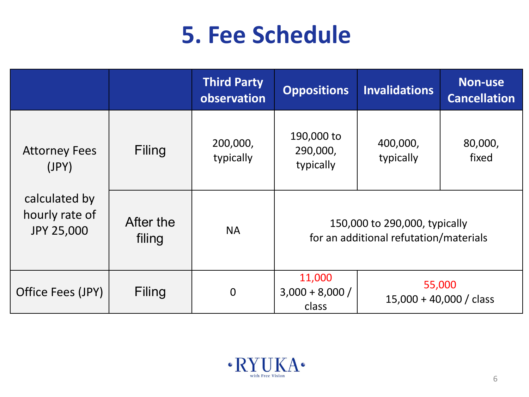## **5. Fee Schedule**

|                                                      |                     | <b>Third Party</b><br>observation | <b>Oppositions</b>                  | <b>Invalidations</b>                                                    | <b>Non-use</b><br><b>Cancellation</b> |
|------------------------------------------------------|---------------------|-----------------------------------|-------------------------------------|-------------------------------------------------------------------------|---------------------------------------|
| <b>Attorney Fees</b><br>(JPY)                        | Filing              | 200,000,<br>typically             | 190,000 to<br>290,000,<br>typically | 400,000,<br>typically                                                   | 80,000,<br>fixed                      |
| calculated by<br>hourly rate of<br><b>JPY 25,000</b> | After the<br>filing | <b>NA</b>                         |                                     | 150,000 to 290,000, typically<br>for an additional refutation/materials |                                       |
| Office Fees (JPY)                                    | Filing              | $\overline{0}$                    | 11,000<br>$3,000 + 8,000/$<br>class | 55,000<br>$15,000 + 40,000 / \text{class}$                              |                                       |